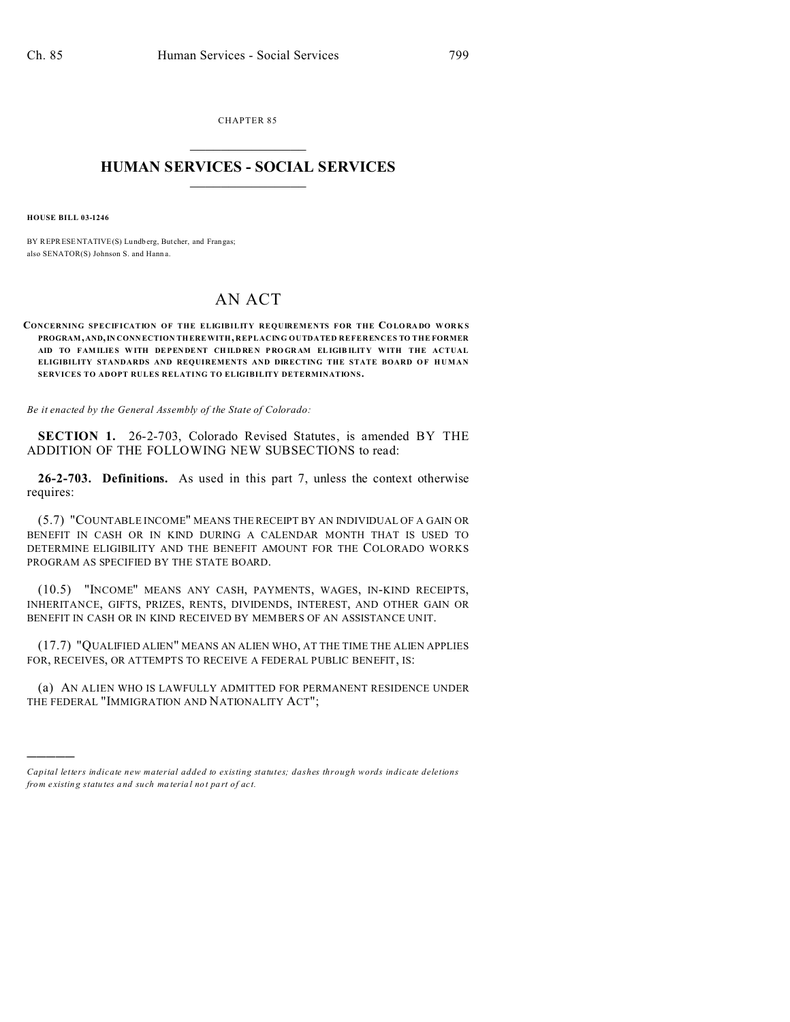CHAPTER 85  $\overline{\phantom{a}}$  , where  $\overline{\phantom{a}}$ 

## **HUMAN SERVICES - SOCIAL SERVICES**  $\frac{1}{2}$  ,  $\frac{1}{2}$  ,  $\frac{1}{2}$  ,  $\frac{1}{2}$  ,  $\frac{1}{2}$  ,  $\frac{1}{2}$

**HOUSE BILL 03-1246**

)))))

BY REPRESENTATIVE(S) Lundb erg, Butcher, and Frangas; also SENATOR(S) Johnson S. and Hann a.

## AN ACT

## **CONCERNING SPECIFICATION OF THE ELIGIBILITY REQUIREMENTS FOR THE COLORADO WORKS PROGRAM, AND,IN CONN ECTION THEREWITH, REPLACING OUTDATED REFERENCES TO THE FORMER AID TO FAMILIES W ITH DEPEN DE NT CH ILDRE N P RO GR AM ELIGIB ILITY WITH THE ACTUAL** ELIGIBILITY STANDARDS AND REQUIREMENTS AND DIRECTING THE STATE BOARD OF HUMAN **SERVICES TO ADOPT RULES RELATING TO ELIGIBILITY DETERMINATIONS.**

*Be it enacted by the General Assembly of the State of Colorado:*

**SECTION 1.** 26-2-703, Colorado Revised Statutes, is amended BY THE ADDITION OF THE FOLLOWING NEW SUBSECTIONS to read:

**26-2-703. Definitions.** As used in this part 7, unless the context otherwise requires:

(5.7) "COUNTABLE INCOME" MEANS THE RECEIPT BY AN INDIVIDUAL OF A GAIN OR BENEFIT IN CASH OR IN KIND DURING A CALENDAR MONTH THAT IS USED TO DETERMINE ELIGIBILITY AND THE BENEFIT AMOUNT FOR THE COLORADO WORKS PROGRAM AS SPECIFIED BY THE STATE BOARD.

(10.5) "INCOME" MEANS ANY CASH, PAYMENTS, WAGES, IN-KIND RECEIPTS, INHERITANCE, GIFTS, PRIZES, RENTS, DIVIDENDS, INTEREST, AND OTHER GAIN OR BENEFIT IN CASH OR IN KIND RECEIVED BY MEMBERS OF AN ASSISTANCE UNIT.

(17.7) "QUALIFIED ALIEN" MEANS AN ALIEN WHO, AT THE TIME THE ALIEN APPLIES FOR, RECEIVES, OR ATTEMPTS TO RECEIVE A FEDERAL PUBLIC BENEFIT, IS:

(a) AN ALIEN WHO IS LAWFULLY ADMITTED FOR PERMANENT RESIDENCE UNDER THE FEDERAL "IMMIGRATION AND NATIONALITY ACT";

*Capital letters indicate new material added to existing statutes; dashes through words indicate deletions from e xistin g statu tes a nd such ma teria l no t pa rt of ac t.*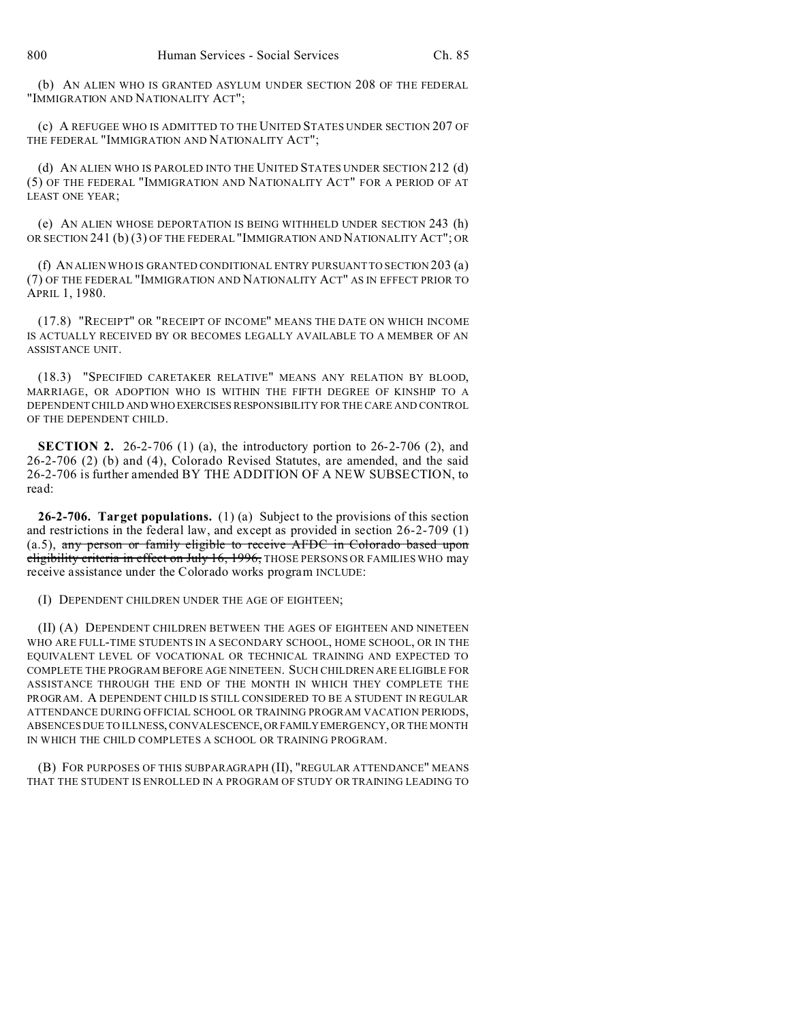(b) AN ALIEN WHO IS GRANTED ASYLUM UNDER SECTION 208 OF THE FEDERAL "IMMIGRATION AND NATIONALITY ACT";

(c) A REFUGEE WHO IS ADMITTED TO THE UNITED STATES UNDER SECTION 207 OF THE FEDERAL "IMMIGRATION AND NATIONALITY ACT";

(d) AN ALIEN WHO IS PAROLED INTO THE UNITED STATES UNDER SECTION 212 (d) (5) OF THE FEDERAL "IMMIGRATION AND NATIONALITY ACT" FOR A PERIOD OF AT LEAST ONE YEAR;

(e) AN ALIEN WHOSE DEPORTATION IS BEING WITHHELD UNDER SECTION 243 (h) OR SECTION 241 (b) (3) OF THE FEDERAL "IMMIGRATION AND NATIONALITY ACT"; OR

(f) AN ALIEN WHO IS GRANTED CONDITIONAL ENTRY PURSUANT TO SECTION 203 (a) (7) OF THE FEDERAL "IMMIGRATION AND NATIONALITY ACT" AS IN EFFECT PRIOR TO APRIL 1, 1980.

(17.8) "RECEIPT" OR "RECEIPT OF INCOME" MEANS THE DATE ON WHICH INCOME IS ACTUALLY RECEIVED BY OR BECOMES LEGALLY AVAILABLE TO A MEMBER OF AN ASSISTANCE UNIT.

(18.3) "SPECIFIED CARETAKER RELATIVE" MEANS ANY RELATION BY BLOOD, MARRIAGE, OR ADOPTION WHO IS WITHIN THE FIFTH DEGREE OF KINSHIP TO A DEPENDENT CHILD AND WHO EXERCISES RESPONSIBILITY FOR THE CARE AND CONTROL OF THE DEPENDENT CHILD.

**SECTION 2.** 26-2-706 (1) (a), the introductory portion to 26-2-706 (2), and 26-2-706 (2) (b) and (4), Colorado Revised Statutes, are amended, and the said 26-2-706 is further amended BY THE ADDITION OF A NEW SUBSECTION, to read:

**26-2-706. Target populations.** (1) (a) Subject to the provisions of this section and restrictions in the federal law, and except as provided in section 26-2-709 (1) (a.5), any person or family eligible to receive AFDC in Colorado based upon eligibility criteria in effect on July 16, 1996, THOSE PERSONS OR FAMILIES WHO may receive assistance under the Colorado works program INCLUDE:

(I) DEPENDENT CHILDREN UNDER THE AGE OF EIGHTEEN;

(II) (A) DEPENDENT CHILDREN BETWEEN THE AGES OF EIGHTEEN AND NINETEEN WHO ARE FULL-TIME STUDENTS IN A SECONDARY SCHOOL, HOME SCHOOL, OR IN THE EQUIVALENT LEVEL OF VOCATIONAL OR TECHNICAL TRAINING AND EXPECTED TO COMPLETE THE PROGRAM BEFORE AGE NINETEEN. SUCH CHILDREN ARE ELIGIBLE FOR ASSISTANCE THROUGH THE END OF THE MONTH IN WHICH THEY COMPLETE THE PROGRAM. A DEPENDENT CHILD IS STILL CONSIDERED TO BE A STUDENT IN REGULAR ATTENDANCE DURING OFFICIAL SCHOOL OR TRAINING PROGRAM VACATION PERIODS, ABSENCES DUE TO ILLNESS, CONVALESCENCE,ORFAMILYEMERGENCY, OR THE MONTH IN WHICH THE CHILD COMPLETES A SCHOOL OR TRAINING PROGRAM.

(B) FOR PURPOSES OF THIS SUBPARAGRAPH (II), "REGULAR ATTENDANCE" MEANS THAT THE STUDENT IS ENROLLED IN A PROGRAM OF STUDY OR TRAINING LEADING TO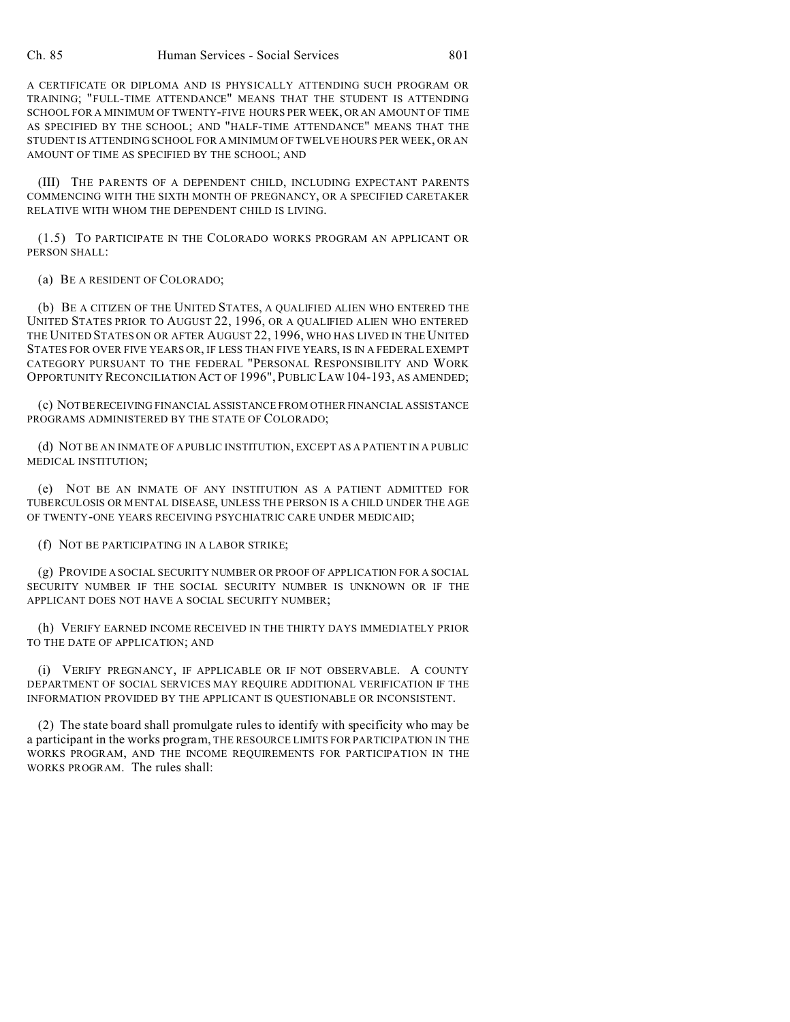A CERTIFICATE OR DIPLOMA AND IS PHYSICALLY ATTENDING SUCH PROGRAM OR TRAINING; "FULL-TIME ATTENDANCE" MEANS THAT THE STUDENT IS ATTENDING SCHOOL FOR A MINIMUM OF TWENTY-FIVE HOURS PER WEEK, OR AN AMOUNT OF TIME AS SPECIFIED BY THE SCHOOL; AND "HALF-TIME ATTENDANCE" MEANS THAT THE STUDENT IS ATTENDING SCHOOL FOR A MINIMUM OF TWELVE HOURS PER WEEK, OR AN AMOUNT OF TIME AS SPECIFIED BY THE SCHOOL; AND

(III) THE PARENTS OF A DEPENDENT CHILD, INCLUDING EXPECTANT PARENTS COMMENCING WITH THE SIXTH MONTH OF PREGNANCY, OR A SPECIFIED CARETAKER RELATIVE WITH WHOM THE DEPENDENT CHILD IS LIVING.

(1.5) TO PARTICIPATE IN THE COLORADO WORKS PROGRAM AN APPLICANT OR PERSON SHALL:

(a) BE A RESIDENT OF COLORADO;

(b) BE A CITIZEN OF THE UNITED STATES, A QUALIFIED ALIEN WHO ENTERED THE UNITED STATES PRIOR TO AUGUST 22, 1996, OR A QUALIFIED ALIEN WHO ENTERED THE UNITED STATES ON OR AFTER AUGUST 22, 1996, WHO HAS LIVED IN THE UNITED STATES FOR OVER FIVE YEARS OR, IF LESS THAN FIVE YEARS, IS IN A FEDERAL EXEMPT CATEGORY PURSUANT TO THE FEDERAL "PERSONAL RESPONSIBILITY AND WORK OPPORTUNITY RECONCILIATION ACT OF 1996", PUBLIC LAW 104-193, AS AMENDED;

(c) NOTBERECEIVING FINANCIAL ASSISTANCE FROM OTHER FINANCIAL ASSISTANCE PROGRAMS ADMINISTERED BY THE STATE OF COLORADO;

(d) NOT BE AN INMATE OF A PUBLIC INSTITUTION, EXCEPT AS A PATIENT IN A PUBLIC MEDICAL INSTITUTION;

(e) NOT BE AN INMATE OF ANY INSTITUTION AS A PATIENT ADMITTED FOR TUBERCULOSIS OR MENTAL DISEASE, UNLESS THE PERSON IS A CHILD UNDER THE AGE OF TWENTY-ONE YEARS RECEIVING PSYCHIATRIC CARE UNDER MEDICAID;

(f) NOT BE PARTICIPATING IN A LABOR STRIKE;

(g) PROVIDE A SOCIAL SECURITY NUMBER OR PROOF OF APPLICATION FOR A SOCIAL SECURITY NUMBER IF THE SOCIAL SECURITY NUMBER IS UNKNOWN OR IF THE APPLICANT DOES NOT HAVE A SOCIAL SECURITY NUMBER;

(h) VERIFY EARNED INCOME RECEIVED IN THE THIRTY DAYS IMMEDIATELY PRIOR TO THE DATE OF APPLICATION; AND

(i) VERIFY PREGNANCY, IF APPLICABLE OR IF NOT OBSERVABLE. A COUNTY DEPARTMENT OF SOCIAL SERVICES MAY REQUIRE ADDITIONAL VERIFICATION IF THE INFORMATION PROVIDED BY THE APPLICANT IS QUESTIONABLE OR INCONSISTENT.

(2) The state board shall promulgate rules to identify with specificity who may be a participant in the works program, THE RESOURCE LIMITS FOR PARTICIPATION IN THE WORKS PROGRAM, AND THE INCOME REQUIREMENTS FOR PARTICIPATION IN THE WORKS PROGRAM. The rules shall: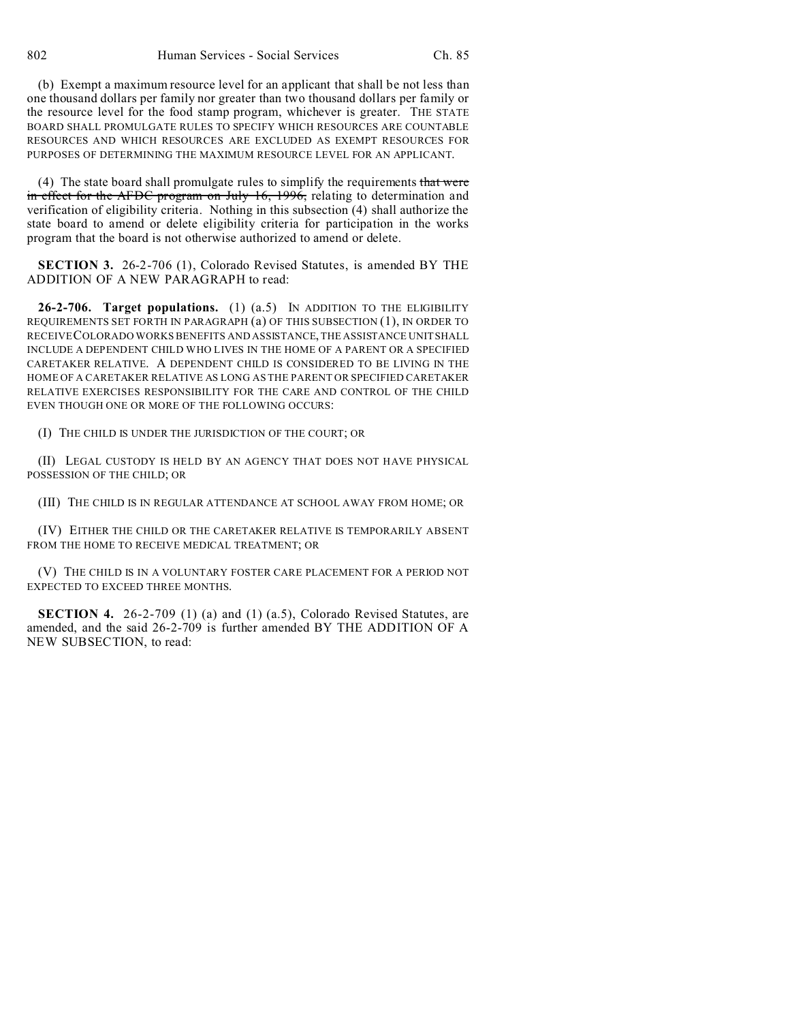(b) Exempt a maximum resource level for an applicant that shall be not less than one thousand dollars per family nor greater than two thousand dollars per family or the resource level for the food stamp program, whichever is greater. THE STATE BOARD SHALL PROMULGATE RULES TO SPECIFY WHICH RESOURCES ARE COUNTABLE RESOURCES AND WHICH RESOURCES ARE EXCLUDED AS EXEMPT RESOURCES FOR PURPOSES OF DETERMINING THE MAXIMUM RESOURCE LEVEL FOR AN APPLICANT.

(4) The state board shall promulgate rules to simplify the requirements that were in effect for the AFDC program on July 16, 1996, relating to determination and verification of eligibility criteria. Nothing in this subsection (4) shall authorize the state board to amend or delete eligibility criteria for participation in the works program that the board is not otherwise authorized to amend or delete.

**SECTION 3.** 26-2-706 (1), Colorado Revised Statutes, is amended BY THE ADDITION OF A NEW PARAGRAPH to read:

**26-2-706. Target populations.** (1) (a.5) IN ADDITION TO THE ELIGIBILITY REQUIREMENTS SET FORTH IN PARAGRAPH (a) OF THIS SUBSECTION (1), IN ORDER TO RECEIVECOLORADO WORKS BENEFITS AND ASSISTANCE, THE ASSISTANCE UNIT SHALL INCLUDE A DEPENDENT CHILD WHO LIVES IN THE HOME OF A PARENT OR A SPECIFIED CARETAKER RELATIVE. A DEPENDENT CHILD IS CONSIDERED TO BE LIVING IN THE HOME OF A CARETAKER RELATIVE AS LONG AS THE PARENT OR SPECIFIED CARETAKER RELATIVE EXERCISES RESPONSIBILITY FOR THE CARE AND CONTROL OF THE CHILD EVEN THOUGH ONE OR MORE OF THE FOLLOWING OCCURS:

(I) THE CHILD IS UNDER THE JURISDICTION OF THE COURT; OR

(II) LEGAL CUSTODY IS HELD BY AN AGENCY THAT DOES NOT HAVE PHYSICAL POSSESSION OF THE CHILD; OR

(III) THE CHILD IS IN REGULAR ATTENDANCE AT SCHOOL AWAY FROM HOME; OR

(IV) EITHER THE CHILD OR THE CARETAKER RELATIVE IS TEMPORARILY ABSENT FROM THE HOME TO RECEIVE MEDICAL TREATMENT; OR

(V) THE CHILD IS IN A VOLUNTARY FOSTER CARE PLACEMENT FOR A PERIOD NOT EXPECTED TO EXCEED THREE MONTHS.

**SECTION 4.** 26-2-709 (1) (a) and (1) (a.5), Colorado Revised Statutes, are amended, and the said 26-2-709 is further amended BY THE ADDITION OF A NEW SUBSECTION, to read: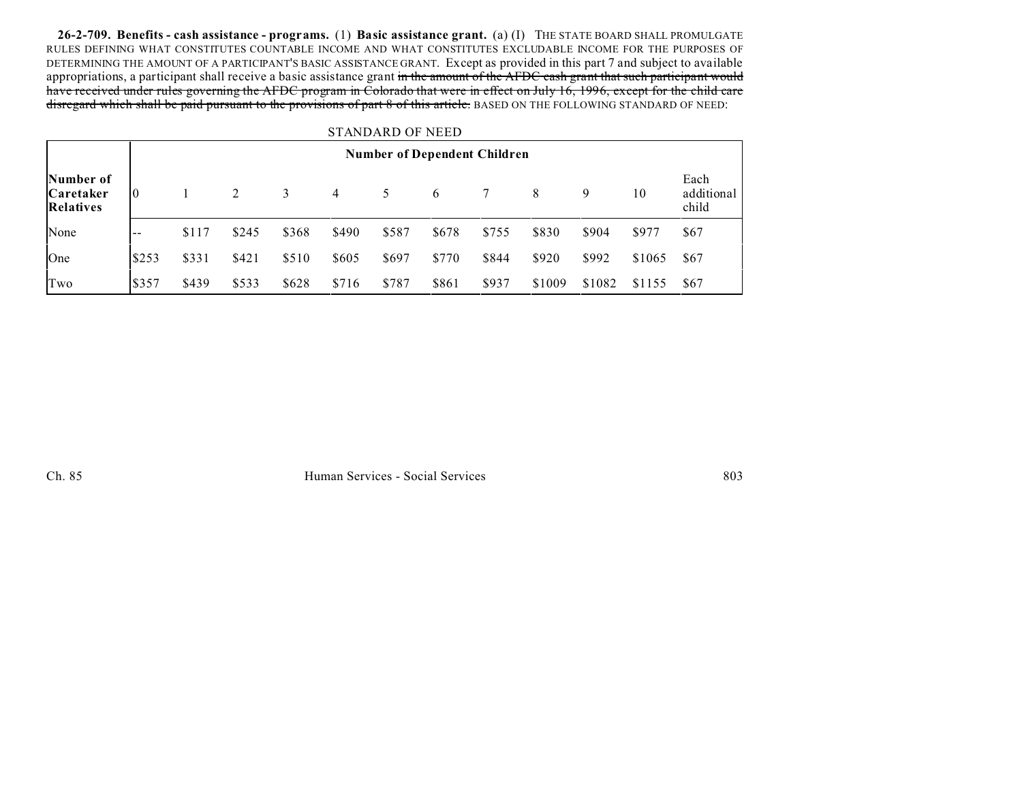**26-2-709. Benefits - cash assistance - programs.** (1) **Basic assistance grant.** (a) (I) THE STATE BOARD SHALL PROMULGATE RULES DEFINING WHAT CONSTITUTES COUNTABLE INCOME AND WHAT CONSTITUTES EXCLUDABLE INCOME FOR THE PURPOSES OF DETERMINING THE AMOUNT OF A PARTICIPANT'S BASIC ASSISTANCE GRANT. Except as provided in this part 7 and subject to available appropriations, a participant shall receive a basic assistance grant in the amount of the AFDC cash grant that such participant would have received under rules governing the AFDC program in Colorado that were in effect on July 16, 1996, except for the child care disregard which shall be paid pursuant to the provisions of part 8 of this article. BASED ON THE FOLLOWING STANDARD OF NEED:

## STANDARD OF NEED

|                                            | <b>Number of Dependent Children</b> |       |       |       |       |       |       |       |        |        |        |                             |
|--------------------------------------------|-------------------------------------|-------|-------|-------|-------|-------|-------|-------|--------|--------|--------|-----------------------------|
| Number of<br><b>Caretaker</b><br>Relatives | $\overline{0}$                      |       | 2     | 3     | 4     | 5.    | 6     |       | 8      | 9      | 10     | Each<br>additional<br>child |
| None                                       | $\sim$ $-$                          | \$117 | \$245 | \$368 | \$490 | \$587 | \$678 | \$755 | \$830  | \$904  | \$977  | \$67                        |
| One                                        | \$253                               | \$331 | \$421 | \$510 | \$605 | \$697 | \$770 | \$844 | \$920  | \$992  | \$1065 | \$67                        |
| Two                                        | \$357                               | \$439 | \$533 | \$628 | \$716 | \$787 | \$861 | \$937 | \$1009 | \$1082 | \$1155 | \$67                        |

Ch. 85 Human Services - Social Services 803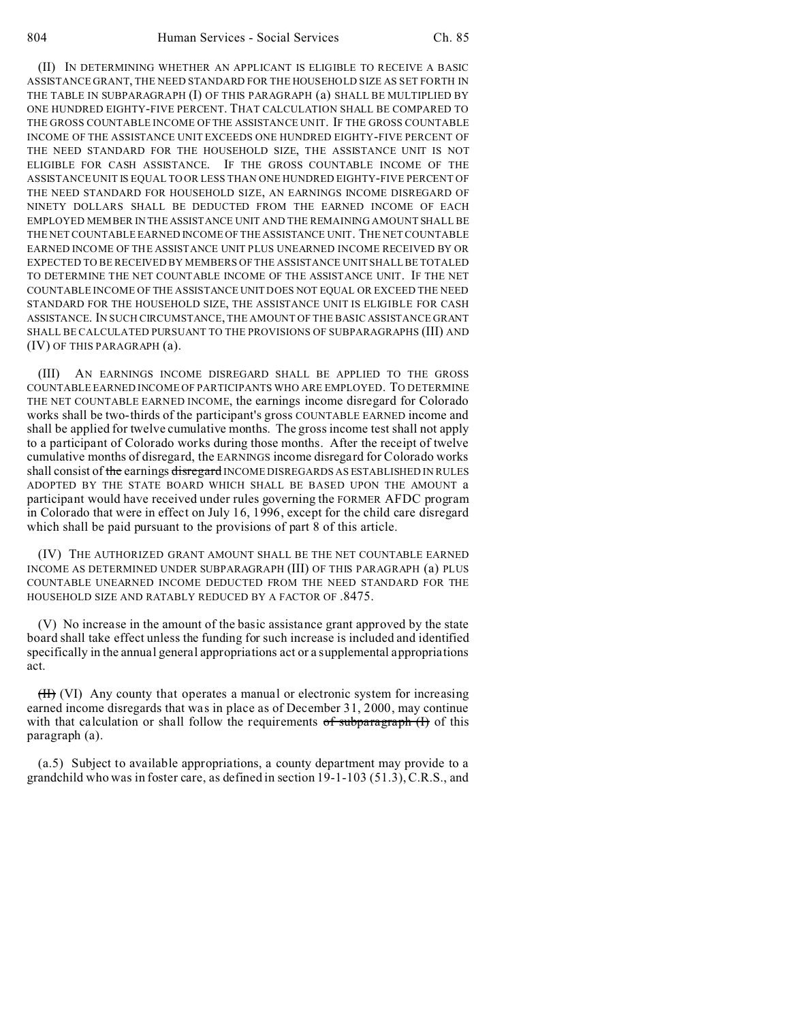(II) IN DETERMINING WHETHER AN APPLICANT IS ELIGIBLE TO RECEIVE A BASIC ASSISTANCE GRANT, THE NEED STANDARD FOR THE HOUSEHOLD SIZE AS SET FORTH IN THE TABLE IN SUBPARAGRAPH (I) OF THIS PARAGRAPH (a) SHALL BE MULTIPLIED BY ONE HUNDRED EIGHTY-FIVE PERCENT. THAT CALCULATION SHALL BE COMPARED TO THE GROSS COUNTABLE INCOME OF THE ASSISTANCE UNIT. IF THE GROSS COUNTABLE INCOME OF THE ASSISTANCE UNIT EXCEEDS ONE HUNDRED EIGHTY-FIVE PERCENT OF THE NEED STANDARD FOR THE HOUSEHOLD SIZE, THE ASSISTANCE UNIT IS NOT ELIGIBLE FOR CASH ASSISTANCE. IF THE GROSS COUNTABLE INCOME OF THE ASSISTANCE UNIT IS EQUAL TO OR LESS THAN ONE HUNDRED EIGHTY-FIVE PERCENT OF THE NEED STANDARD FOR HOUSEHOLD SIZE, AN EARNINGS INCOME DISREGARD OF NINETY DOLLARS SHALL BE DEDUCTED FROM THE EARNED INCOME OF EACH EMPLOYED MEMBER IN THE ASSISTANCE UNIT AND THE REMAINING AMOUNT SHALL BE THE NET COUNTABLE EARNED INCOME OF THE ASSISTANCE UNIT. THE NET COUNTABLE EARNED INCOME OF THE ASSISTANCE UNIT PLUS UNEARNED INCOME RECEIVED BY OR EXPECTED TO BE RECEIVED BY MEMBERS OF THE ASSISTANCE UNIT SHALL BE TOTALED TO DETERMINE THE NET COUNTABLE INCOME OF THE ASSISTANCE UNIT. IF THE NET COUNTABLE INCOME OF THE ASSISTANCE UNIT DOES NOT EQUAL OR EXCEED THE NEED STANDARD FOR THE HOUSEHOLD SIZE, THE ASSISTANCE UNIT IS ELIGIBLE FOR CASH ASSISTANCE. IN SUCH CIRCUMSTANCE, THE AMOUNT OF THE BASIC ASSISTANCE GRANT SHALL BE CALCULATED PURSUANT TO THE PROVISIONS OF SUBPARAGRAPHS (III) AND (IV) OF THIS PARAGRAPH (a).

(III) AN EARNINGS INCOME DISREGARD SHALL BE APPLIED TO THE GROSS COUNTABLE EARNED INCOME OF PARTICIPANTS WHO ARE EMPLOYED. TO DETERMINE THE NET COUNTABLE EARNED INCOME, the earnings income disregard for Colorado works shall be two-thirds of the participant's gross COUNTABLE EARNED income and shall be applied for twelve cumulative months. The gross income test shall not apply to a participant of Colorado works during those months. After the receipt of twelve cumulative months of disregard, the EARNINGS income disregard for Colorado works shall consist of the earnings disregard INCOME DISREGARDS AS ESTABLISHED IN RULES ADOPTED BY THE STATE BOARD WHICH SHALL BE BASED UPON THE AMOUNT a participant would have received under rules governing the FORMER AFDC program in Colorado that were in effect on July 16, 1996, except for the child care disregard which shall be paid pursuant to the provisions of part 8 of this article.

(IV) THE AUTHORIZED GRANT AMOUNT SHALL BE THE NET COUNTABLE EARNED INCOME AS DETERMINED UNDER SUBPARAGRAPH (III) OF THIS PARAGRAPH (a) PLUS COUNTABLE UNEARNED INCOME DEDUCTED FROM THE NEED STANDARD FOR THE HOUSEHOLD SIZE AND RATABLY REDUCED BY A FACTOR OF .8475.

(V) No increase in the amount of the basic assistance grant approved by the state board shall take effect unless the funding for such increase is included and identified specifically in the annual general appropriations act or a supplemental appropriations act.

(II) (VI) Any county that operates a manual or electronic system for increasing earned income disregards that was in place as of December 31, 2000, may continue with that calculation or shall follow the requirements  $of subparagnah (H)$  of this paragraph (a).

(a.5) Subject to available appropriations, a county department may provide to a grandchild who was in foster care, as defined in section 19-1-103 (51.3), C.R.S., and